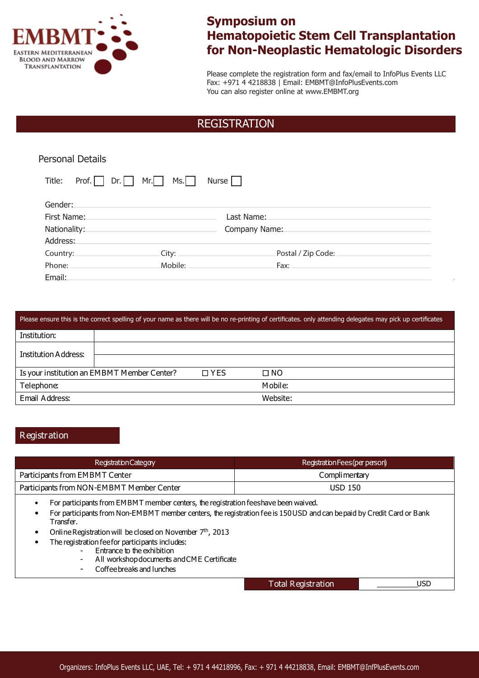

# **Symposium on Hematopoietic Stem Cell Transplantation for Non-Neoplastic Hematologic Disorders**

Please complete the registration form and fax/email to InfoPlus Events LLC Fax: +971 4 4218838 | Email: EMBMT@InfoPlusEvents.com You can also register online at www.EMBMT.org

## REGISTRATION

| <b>Personal Details</b>       |                     |                    |
|-------------------------------|---------------------|--------------------|
| Title:<br>Mr.<br>Prof.<br>Dr. | Nurse $\Box$<br>MS. |                    |
| Gender:                       |                     |                    |
| First Name:                   | Last Name:          |                    |
| Nationality:                  | Company Name:       |                    |
| Address:                      |                     |                    |
| Country:                      | City:               | Postal / Zip Code: |
| Phone:                        | Mobile:             | Fax:               |
| Email:                        |                     |                    |

| Please ensure this is the correct spelling of your name as there will be no re-printing of certificates, only attending delegates may pick up certificates |                                             |            |           |
|------------------------------------------------------------------------------------------------------------------------------------------------------------|---------------------------------------------|------------|-----------|
| Institution:                                                                                                                                               |                                             |            |           |
| Institution Address:                                                                                                                                       |                                             |            |           |
|                                                                                                                                                            |                                             |            |           |
|                                                                                                                                                            | Is your institution an EMBMT Member Center? | $\Box$ YES | $\Box$ NO |
| Telephone:                                                                                                                                                 |                                             |            | Mobile:   |
| Email Address:                                                                                                                                             |                                             |            | Website:  |

### **Registration**

| <b>Registration Categoy</b>               | Registration Fees (per person) |
|-------------------------------------------|--------------------------------|
| Participants from EMBMT Center            | Complimentary                  |
| Participants from NON-EMBMT Member Center | <b>USD 150</b>                 |

• For participants from EMBMT member centers, the registration feeshave been waived.

• For participants from Non-EMBMT member centers, the registration fee is 150USD and can bepaid by Credit Card or Bank Transfer.

- Online Registration will be closed on November  $7<sup>th</sup>$ , 2013
- The registration fee for participants includes:
	- Entrance to the exhibition
	- All workshopdocuments and CME Certificate
	- Coffeebreaks and lunches

Total Registration \_\_\_\_\_\_\_\_\_\_USD